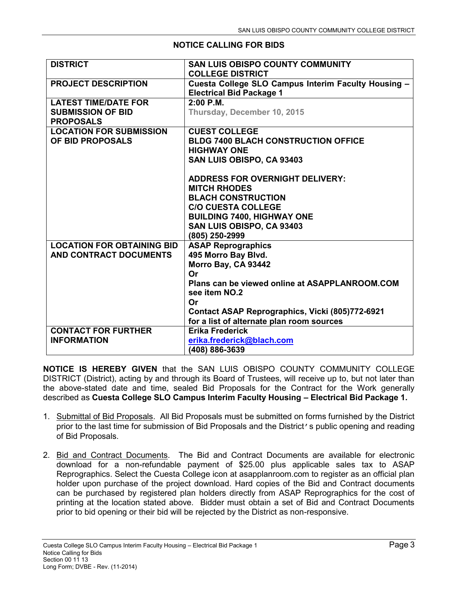## **NOTICE CALLING FOR BIDS**

| <b>DISTRICT</b>                                                             | SAN LUIS OBISPO COUNTY COMMUNITY<br><b>COLLEGE DISTRICT</b>                                                                                                                                                                                            |
|-----------------------------------------------------------------------------|--------------------------------------------------------------------------------------------------------------------------------------------------------------------------------------------------------------------------------------------------------|
| <b>PROJECT DESCRIPTION</b>                                                  | Cuesta College SLO Campus Interim Faculty Housing -<br><b>Electrical Bid Package 1</b>                                                                                                                                                                 |
| <b>LATEST TIME/DATE FOR</b><br><b>SUBMISSION OF BID</b><br><b>PROPOSALS</b> | $2:00$ P.M.<br>Thursday, December 10, 2015                                                                                                                                                                                                             |
| <b>LOCATION FOR SUBMISSION</b><br>OF BID PROPOSALS                          | <b>CUEST COLLEGE</b><br><b>BLDG 7400 BLACH CONSTRUCTION OFFICE</b><br><b>HIGHWAY ONE</b><br>SAN LUIS OBISPO, CA 93403                                                                                                                                  |
|                                                                             | <b>ADDRESS FOR OVERNIGHT DELIVERY:</b><br><b>MITCH RHODES</b><br><b>BLACH CONSTRUCTION</b><br><b>C/O CUESTA COLLEGE</b><br><b>BUILDING 7400, HIGHWAY ONE</b><br>SAN LUIS OBISPO, CA 93403<br>(805) 250-2999                                            |
| <b>LOCATION FOR OBTAINING BID</b><br>AND CONTRACT DOCUMENTS                 | <b>ASAP Reprographics</b><br>495 Morro Bay Blvd.<br>Morro Bay, CA 93442<br>Or<br>Plans can be viewed online at ASAPPLANROOM.COM<br>see item NO.2<br>Or<br>Contact ASAP Reprographics, Vicki (805)772-6921<br>for a list of alternate plan room sources |
| <b>CONTACT FOR FURTHER</b><br><b>INFORMATION</b>                            | <b>Erika Frederick</b><br>erika.frederick@blach.com<br>(408) 886-3639                                                                                                                                                                                  |

**NOTICE IS HEREBY GIVEN** that the SAN LUIS OBISPO COUNTY COMMUNITY COLLEGE DISTRICT (District), acting by and through its Board of Trustees, will receive up to, but not later than the above-stated date and time, sealed Bid Proposals for the Contract for the Work generally described as **Cuesta College SLO Campus Interim Faculty Housing – Electrical Bid Package 1.** 

- 1. Submittal of Bid Proposals. All Bid Proposals must be submitted on forms furnished by the District prior to the last time for submission of Bid Proposals and the District's public opening and reading of Bid Proposals.
- 2. Bid and Contract Documents. The Bid and Contract Documents are available for electronic download for a non-refundable payment of \$25.00 plus applicable sales tax to ASAP Reprographics. Select the Cuesta College icon at asapplanroom.com to register as an official plan holder upon purchase of the project download. Hard copies of the Bid and Contract documents can be purchased by registered plan holders directly from ASAP Reprographics for the cost of printing at the location stated above. Bidder must obtain a set of Bid and Contract Documents prior to bid opening or their bid will be rejected by the District as non-responsive.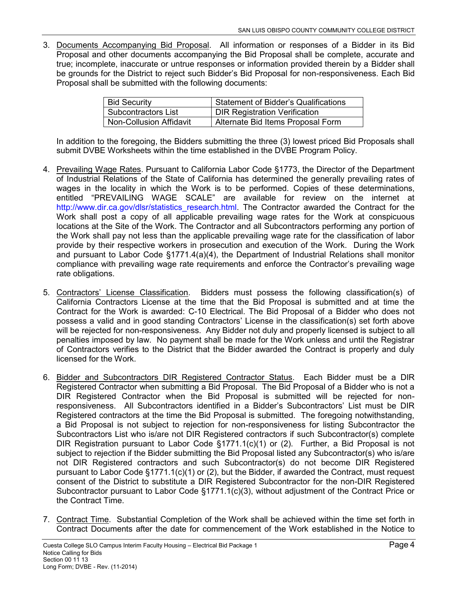3. Documents Accompanying Bid Proposal. All information or responses of a Bidder in its Bid Proposal and other documents accompanying the Bid Proposal shall be complete, accurate and true; incomplete, inaccurate or untrue responses or information provided therein by a Bidder shall be grounds for the District to reject such Bidder's Bid Proposal for non-responsiveness. Each Bid Proposal shall be submitted with the following documents:

| <b>Bid Security</b>            | <b>Statement of Bidder's Qualifications</b> |
|--------------------------------|---------------------------------------------|
| <b>Subcontractors List</b>     | <b>DIR Registration Verification</b>        |
| <b>Non-Collusion Affidavit</b> | Alternate Bid Items Proposal Form           |

In addition to the foregoing, the Bidders submitting the three (3) lowest priced Bid Proposals shall submit DVBE Worksheets within the time established in the DVBE Program Policy.

- 4. Prevailing Wage Rates. Pursuant to California Labor Code §1773, the Director of the Department of Industrial Relations of the State of California has determined the generally prevailing rates of wages in the locality in which the Work is to be performed. Copies of these determinations, entitled "PREVAILING WAGE SCALE" are available for review on the internet at http://www.dir.ca.gov/dlsr/statistics\_research.html. The Contractor awarded the Contract for the Work shall post a copy of all applicable prevailing wage rates for the Work at conspicuous locations at the Site of the Work. The Contractor and all Subcontractors performing any portion of the Work shall pay not less than the applicable prevailing wage rate for the classification of labor provide by their respective workers in prosecution and execution of the Work. During the Work and pursuant to Labor Code §1771.4(a)(4), the Department of Industrial Relations shall monitor compliance with prevailing wage rate requirements and enforce the Contractor's prevailing wage rate obligations.
- 5. Contractors' License Classification. Bidders must possess the following classification(s) of California Contractors License at the time that the Bid Proposal is submitted and at time the Contract for the Work is awarded: C-10 Electrical. The Bid Proposal of a Bidder who does not possess a valid and in good standing Contractors' License in the classification(s) set forth above will be rejected for non-responsiveness. Any Bidder not duly and properly licensed is subject to all penalties imposed by law. No payment shall be made for the Work unless and until the Registrar of Contractors verifies to the District that the Bidder awarded the Contract is properly and duly licensed for the Work.
- 6. Bidder and Subcontractors DIR Registered Contractor Status. Each Bidder must be a DIR Registered Contractor when submitting a Bid Proposal. The Bid Proposal of a Bidder who is not a DIR Registered Contractor when the Bid Proposal is submitted will be rejected for nonresponsiveness. All Subcontractors identified in a Bidder's Subcontractors' List must be DIR Registered contractors at the time the Bid Proposal is submitted. The foregoing notwithstanding, a Bid Proposal is not subject to rejection for non-responsiveness for listing Subcontractor the Subcontractors List who is/are not DIR Registered contractors if such Subcontractor(s) complete DIR Registration pursuant to Labor Code §1771.1(c)(1) or (2). Further, a Bid Proposal is not subject to rejection if the Bidder submitting the Bid Proposal listed any Subcontractor(s) who is/are not DIR Registered contractors and such Subcontractor(s) do not become DIR Registered pursuant to Labor Code  $\S 1771.1(c)(1)$  or (2), but the Bidder, if awarded the Contract, must request consent of the District to substitute a DIR Registered Subcontractor for the non-DIR Registered Subcontractor pursuant to Labor Code §1771.1(c)(3), without adjustment of the Contract Price or the Contract Time.
- 7. Contract Time. Substantial Completion of the Work shall be achieved within the time set forth in Contract Documents after the date for commencement of the Work established in the Notice to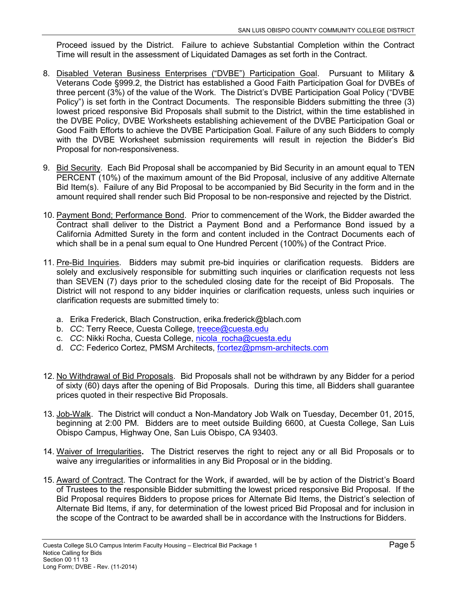Proceed issued by the District. Failure to achieve Substantial Completion within the Contract Time will result in the assessment of Liquidated Damages as set forth in the Contract.

- 8. Disabled Veteran Business Enterprises ("DVBE") Participation Goal. Pursuant to Military & Veterans Code §999.2, the District has established a Good Faith Participation Goal for DVBEs of three percent (3%) of the value of the Work. The District's DVBE Participation Goal Policy ("DVBE Policy") is set forth in the Contract Documents. The responsible Bidders submitting the three (3) lowest priced responsive Bid Proposals shall submit to the District, within the time established in the DVBE Policy, DVBE Worksheets establishing achievement of the DVBE Participation Goal or Good Faith Efforts to achieve the DVBE Participation Goal. Failure of any such Bidders to comply with the DVBE Worksheet submission requirements will result in rejection the Bidder's Bid Proposal for non-responsiveness.
- 9. Bid Security. Each Bid Proposal shall be accompanied by Bid Security in an amount equal to TEN PERCENT (10%) of the maximum amount of the Bid Proposal, inclusive of any additive Alternate Bid Item(s). Failure of any Bid Proposal to be accompanied by Bid Security in the form and in the amount required shall render such Bid Proposal to be non-responsive and rejected by the District.
- 10. Payment Bond; Performance Bond. Prior to commencement of the Work, the Bidder awarded the Contract shall deliver to the District a Payment Bond and a Performance Bond issued by a California Admitted Surety in the form and content included in the Contract Documents each of which shall be in a penal sum equal to One Hundred Percent (100%) of the Contract Price.
- 11. Pre-Bid Inquiries. Bidders may submit pre-bid inquiries or clarification requests. Bidders are solely and exclusively responsible for submitting such inquiries or clarification requests not less than SEVEN (7) days prior to the scheduled closing date for the receipt of Bid Proposals. The District will not respond to any bidder inquiries or clarification requests, unless such inquiries or clarification requests are submitted timely to:
	- a. Erika Frederick, Blach Construction, erika.frederick@blach.com
	- b. *CC*: Terry Reece, Cuesta College, [treece@cuesta.edu](mailto:treece@cuesta.edu)
	- c. *CC*: Nikki Rocha, Cuesta College, [nicola\\_rocha@cuesta.edu](mailto:nicola_rocha@cuesta.edu)
	- d. *CC*: Federico Cortez, PMSM Architects, [fcortez@pmsm-architects.com](mailto:fcortez@pmsm-architects.com)
- 12. No Withdrawal of Bid Proposals. Bid Proposals shall not be withdrawn by any Bidder for a period of sixty (60) days after the opening of Bid Proposals. During this time, all Bidders shall guarantee prices quoted in their respective Bid Proposals.
- 13. Job-Walk. The District will conduct a Non-Mandatory Job Walk on Tuesday, December 01, 2015, beginning at 2:00 PM. Bidders are to meet outside Building 6600, at Cuesta College, San Luis Obispo Campus, Highway One, San Luis Obispo, CA 93403.
- 14. Waiver of Irregularities**.** The District reserves the right to reject any or all Bid Proposals or to waive any irregularities or informalities in any Bid Proposal or in the bidding.
- 15. Award of Contract. The Contract for the Work, if awarded, will be by action of the District's Board of Trustees to the responsible Bidder submitting the lowest priced responsive Bid Proposal. If the Bid Proposal requires Bidders to propose prices for Alternate Bid Items, the District's selection of Alternate Bid Items, if any, for determination of the lowest priced Bid Proposal and for inclusion in the scope of the Contract to be awarded shall be in accordance with the Instructions for Bidders.